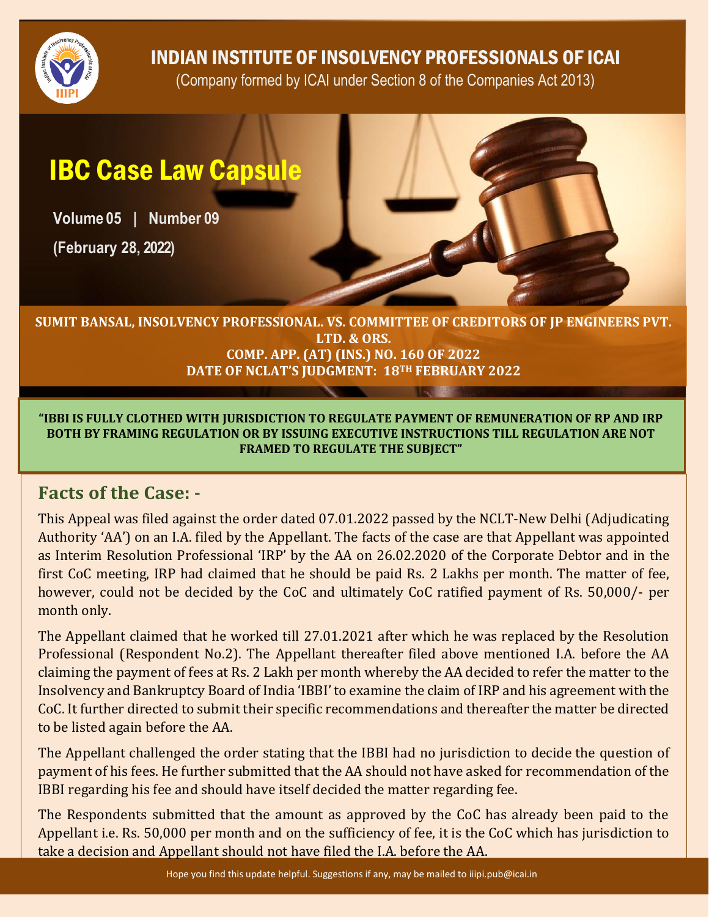

INDIAN INSTITUTE OF INSOLVENCY PROFESSIONALS OF ICAI

(Company formed by ICAI under Section 8 of the Companies Act 2013)

# IBC Case Law Capsule

**Volume 05 | Number 09**

**(February 28, 2022)**



#### **SUMIT BANSAL, INSOLVENCY PROFESSIONAL. VS. COMMITTEE OF CREDITORS OF JP ENGINEERS PVT. LTD. & ORS. COMP. APP. (AT) (INS.) NO. 160 OF 2022 DATE OF NCLAT'S JUDGMENT: 18TH FEBRUARY 2022**

**"IBBI IS FULLY CLOTHED WITH JURISDICTION TO REGULATE PAYMENT OF REMUNERATION OF RP AND IRP BOTH BY FRAMING REGULATION OR BY ISSUING EXECUTIVE INSTRUCTIONS TILL REGULATION ARE NOT FRAMED TO REGULATE THE SUBJECT"** 

#### **Facts of the Case: -**

This Appeal was filed against the order dated 07.01.2022 passed by the NCLT-New Delhi (Adjudicating Authority 'AA') on an I.A. filed by the Appellant. The facts of the case are that Appellant was appointed as Interim Resolution Professional 'IRP' by the AA on 26.02.2020 of the Corporate Debtor and in the first CoC meeting, IRP had claimed that he should be paid Rs. 2 Lakhs per month. The matter of fee, however, could not be decided by the CoC and ultimately CoC ratified payment of Rs. 50,000/- per month only.

The Appellant claimed that he worked till 27.01.2021 after which he was replaced by the Resolution Professional (Respondent No.2). The Appellant thereafter filed above mentioned I.A. before the AA claiming the payment of fees at Rs. 2 Lakh per month whereby the AA decided to refer the matter to the Insolvency and Bankruptcy Board of India 'IBBI' to examine the claim of IRP and his agreement with the CoC. It further directed to submit their specific recommendations and thereafter the matter be directed to be listed again before the AA.

The Appellant challenged the order stating that the IBBI had no jurisdiction to decide the question of payment of his fees. He further submitted that the AA should not have asked for recommendation of the IBBI regarding his fee and should have itself decided the matter regarding fee.

The Respondents submitted that the amount as approved by the CoC has already been paid to the Appellant i.e. Rs. 50,000 per month and on the sufficiency of fee, it is the CoC which has jurisdiction to take a decision and Appellant should not have filed the I.A. before the AA.